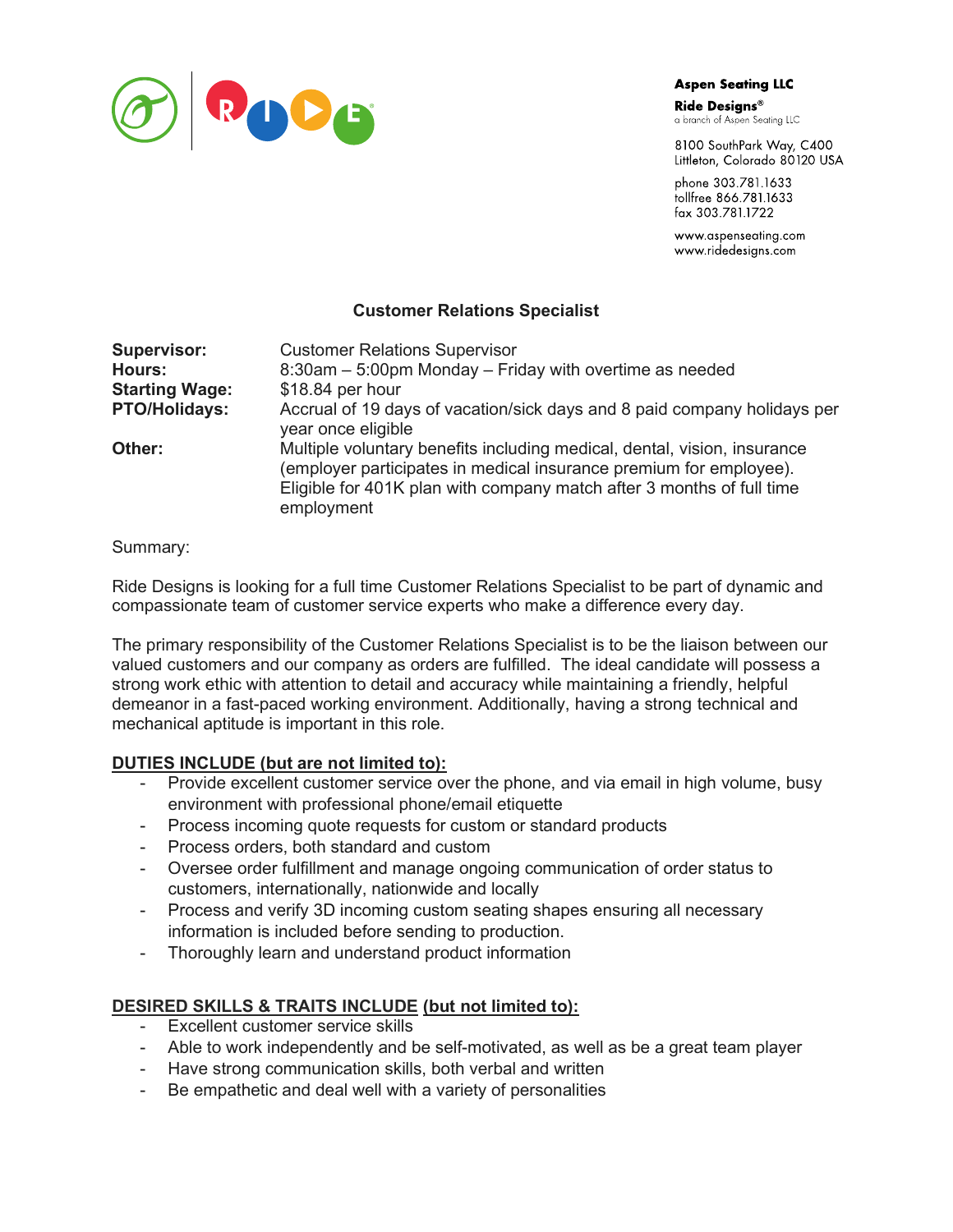

# **Aspen Seating LLC**

Ride Designs® a branch of Aspen Seating LLC

8100 SouthPark Way, C400 Littleton, Colorado 80120 USA

phone 303.781.1633 tollfree 866.781.1633 fax 303.781.1722

www.aspenseating.com www.ridedesigns.com

## Customer Relations Specialist

| <b>Supervisor:</b>    | <b>Customer Relations Supervisor</b>                                                                                                                                                                                                  |
|-----------------------|---------------------------------------------------------------------------------------------------------------------------------------------------------------------------------------------------------------------------------------|
| Hours:                | 8:30am - 5:00pm Monday - Friday with overtime as needed                                                                                                                                                                               |
| <b>Starting Wage:</b> | \$18.84 per hour                                                                                                                                                                                                                      |
| <b>PTO/Holidays:</b>  | Accrual of 19 days of vacation/sick days and 8 paid company holidays per<br>year once eligible                                                                                                                                        |
| Other:                | Multiple voluntary benefits including medical, dental, vision, insurance<br>(employer participates in medical insurance premium for employee).<br>Eligible for 401K plan with company match after 3 months of full time<br>employment |

#### Summary:

Ride Designs is looking for a full time Customer Relations Specialist to be part of dynamic and compassionate team of customer service experts who make a difference every day.

The primary responsibility of the Customer Relations Specialist is to be the liaison between our valued customers and our company as orders are fulfilled. The ideal candidate will possess a strong work ethic with attention to detail and accuracy while maintaining a friendly, helpful demeanor in a fast-paced working environment. Additionally, having a strong technical and mechanical aptitude is important in this role.

#### DUTIES INCLUDE (but are not limited to):

- Provide excellent customer service over the phone, and via email in high volume, busy environment with professional phone/email etiquette
- Process incoming quote requests for custom or standard products
- Process orders, both standard and custom
- Oversee order fulfillment and manage ongoing communication of order status to customers, internationally, nationwide and locally
- Process and verify 3D incoming custom seating shapes ensuring all necessary information is included before sending to production.
- Thoroughly learn and understand product information

## DESIRED SKILLS & TRAITS INCLUDE (but not limited to):

- Excellent customer service skills
- Able to work independently and be self-motivated, as well as be a great team player
- Have strong communication skills, both verbal and written
- Be empathetic and deal well with a variety of personalities